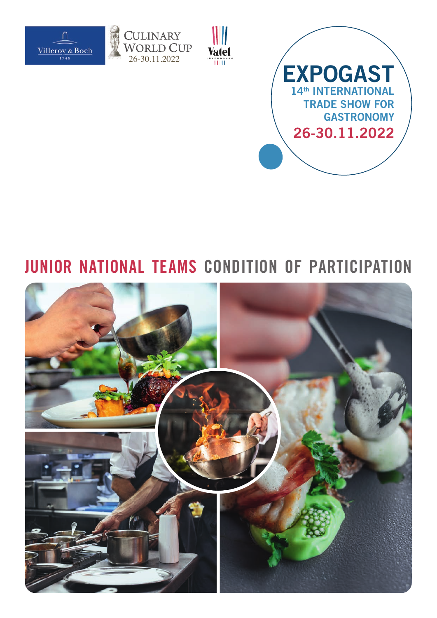

J.







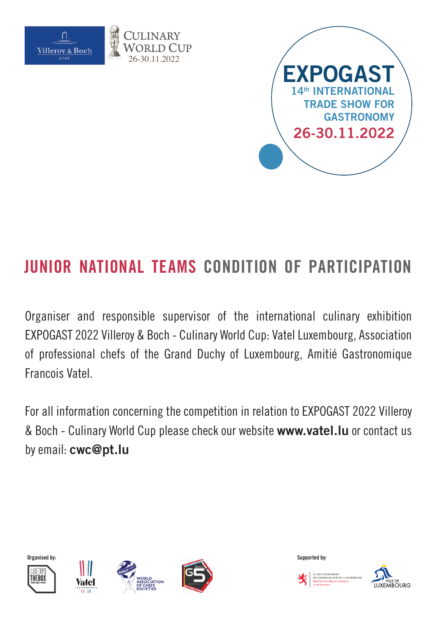



Organiser and responsible supervisor of the international culinary exhibition EXPOGAST 2022 Villeroy & Boch - Culinary World Cup: Vatel Luxembourg, Association of professional chefs of the Grand Duchy of Luxembourg, Amitié Gastronomique Francois Vatel.

For all information concerning the competition in relation to EXPOGAST 2022 Villeroy & Boch - Culinary World Cup please check our website **www.vatel.lu** or contact us by email: **cwc@pt.lu**













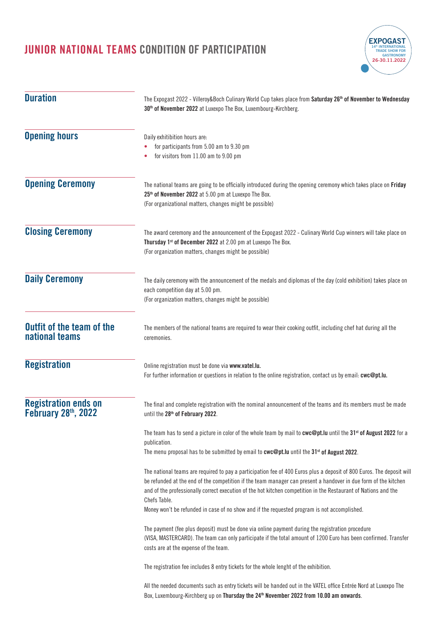

| <b>Duration</b>                                    | The Expogast 2022 - Villeroy&Boch Culinary World Cup takes place from Saturday 26 <sup>th</sup> of November to Wednesday<br>30 <sup>th</sup> of November 2022 at Luxexpo The Box, Luxembourg-Kirchberg.                                                                                                                                                                                                                                                                     |  |  |
|----------------------------------------------------|-----------------------------------------------------------------------------------------------------------------------------------------------------------------------------------------------------------------------------------------------------------------------------------------------------------------------------------------------------------------------------------------------------------------------------------------------------------------------------|--|--|
| <b>Opening hours</b>                               | Daily exhitibition hours are:<br>for participants from 5.00 am to 9.30 pm<br>for visitors from 11.00 am to 9.00 pm                                                                                                                                                                                                                                                                                                                                                          |  |  |
| <b>Opening Ceremony</b>                            | The national teams are going to be officially introduced during the opening ceremony which takes place on Friday<br>25 <sup>th</sup> of November 2022 at 5.00 pm at Luxexpo The Box.<br>(For organizational matters, changes might be possible)                                                                                                                                                                                                                             |  |  |
| <b>Closing Ceremony</b>                            | The award ceremony and the announcement of the Expogast 2022 - Culinary World Cup winners will take place on<br>Thursday 1 <sup>st</sup> of December 2022 at 2.00 pm at Luxexpo The Box.<br>(For organization matters, changes might be possible)                                                                                                                                                                                                                           |  |  |
| <b>Daily Ceremony</b>                              | The daily ceremony with the announcement of the medals and diplomas of the day (cold exhibition) takes place on<br>each competition day at 5.00 pm.<br>(For organization matters, changes might be possible)                                                                                                                                                                                                                                                                |  |  |
| <b>Outfit of the team of the</b><br>national teams | The members of the national teams are required to wear their cooking outfit, including chef hat during all the<br>ceremonies.                                                                                                                                                                                                                                                                                                                                               |  |  |
| <b>Registration</b>                                | Online registration must be done via www.vatel.lu.<br>For further information or questions in relation to the online registration, contact us by email: cwc@pt.lu.                                                                                                                                                                                                                                                                                                          |  |  |
| <b>Registration ends on</b><br>February 28th, 2022 | The final and complete registration with the nominal announcement of the teams and its members must be made<br>until the 28 <sup>th</sup> of February 2022.                                                                                                                                                                                                                                                                                                                 |  |  |
|                                                    | The team has to send a picture in color of the whole team by mail to cwc@pt.lu until the 31 <sup>st</sup> of August 2022 for a<br>publication.<br>The menu proposal has to be submitted by email to cwc@pt.lu until the 31 <sup>st</sup> of August 2022.                                                                                                                                                                                                                    |  |  |
|                                                    | The national teams are required to pay a participation fee of 400 Euros plus a deposit of 800 Euros. The deposit will<br>be refunded at the end of the competition if the team manager can present a handover in due form of the kitchen<br>and of the professionally correct execution of the hot kitchen competition in the Restaurant of Nations and the<br>Chefs Table.<br>Money won't be refunded in case of no show and if the requested program is not accomplished. |  |  |
|                                                    | The payment (fee plus deposit) must be done via online payment during the registration procedure<br>(VISA, MASTERCARD). The team can only participate if the total amount of 1200 Euro has been confirmed. Transfer<br>costs are at the expense of the team.                                                                                                                                                                                                                |  |  |
|                                                    | The registration fee includes 8 entry tickets for the whole lenght of the exhibition.                                                                                                                                                                                                                                                                                                                                                                                       |  |  |
|                                                    | All the needed documents such as entry tickets will be handed out in the VATEL office Entrée Nord at Luxexpo The<br>Box, Luxembourg-Kirchberg up on Thursday the 24 <sup>th</sup> November 2022 from 10.00 am onwards.                                                                                                                                                                                                                                                      |  |  |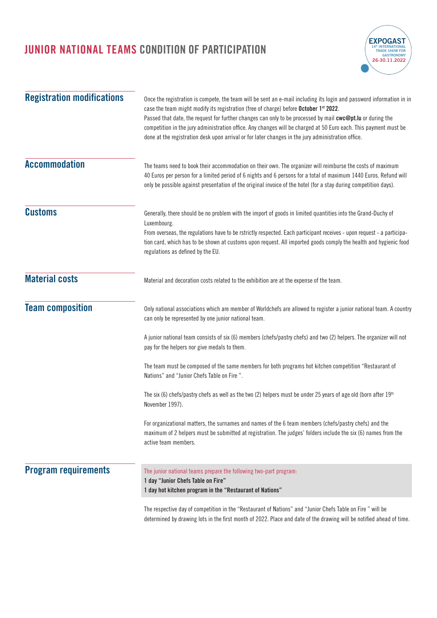

| <b>Registration modifications</b> | Once the registration is compete, the team will be sent an e-mail including its login and password information in in<br>case the team might modify its registration (free of charge) before October 1st 2022.<br>Passed that date, the request for further changes can only to be processed by mail cwc@pt.lu or during the<br>competition in the jury administration office. Any changes will be charged at 50 Euro each. This payment must be<br>done at the registration desk upon arrival or for later changes in the jury administration office. |  |  |
|-----------------------------------|-------------------------------------------------------------------------------------------------------------------------------------------------------------------------------------------------------------------------------------------------------------------------------------------------------------------------------------------------------------------------------------------------------------------------------------------------------------------------------------------------------------------------------------------------------|--|--|
| <b>Accommodation</b>              | The teams need to book their accommodation on their own. The organizer will reimburse the costs of maximum<br>40 Euros per person for a limited period of 6 nights and 6 persons for a total of maximum 1440 Euros. Refund will<br>only be possible against presentation of the original invoice of the hotel (for a stay during competition days).                                                                                                                                                                                                   |  |  |
| <b>Customs</b>                    | Generally, there should be no problem with the import of goods in limited quantities into the Grand-Duchy of<br>Luxembourg.<br>From overseas, the regulations have to be rstrictly respected. Each participant receives - upon request - a participa-<br>tion card, which has to be shown at customs upon request. All imported goods comply the health and hygienic food<br>regulations as defined by the EU.                                                                                                                                        |  |  |
| <b>Material costs</b>             | Material and decoration costs related to the exhibition are at the expense of the team.                                                                                                                                                                                                                                                                                                                                                                                                                                                               |  |  |
| <b>Team composition</b>           | Only national associations which are member of Worldchefs are allowed to register a junior national team. A country<br>can only be represented by one junior national team.                                                                                                                                                                                                                                                                                                                                                                           |  |  |
|                                   | A junior national team consists of six (6) members (chefs/pastry chefs) and two (2) helpers. The organizer will not<br>pay for the helpers nor give medals to them.                                                                                                                                                                                                                                                                                                                                                                                   |  |  |
|                                   | The team must be composed of the same members for both programs hot kitchen competition "Restaurant of<br>Nations" and "Junior Chefs Table on Fire".                                                                                                                                                                                                                                                                                                                                                                                                  |  |  |
|                                   | The six (6) chefs/pastry chefs as well as the two (2) helpers must be under 25 years of age old (born after 19th<br>November 1997).                                                                                                                                                                                                                                                                                                                                                                                                                   |  |  |
|                                   | For organizational matters, the surnames and names of the 6 team members (chefs/pastry chefs) and the<br>maximum of 2 helpers must be submitted at registration. The judges' folders include the six (6) names from the<br>active team members.                                                                                                                                                                                                                                                                                                       |  |  |
| <b>Program requirements</b>       | The junior national teams prepare the following two-part program:<br>1 day "Junior Chefs Table on Fire"<br>1 day hot kitchen program in the "Restaurant of Nations"                                                                                                                                                                                                                                                                                                                                                                                   |  |  |
|                                   | The respective day of competition in the "Restaurant of Nations" and "Junior Chefs Table on Fire " will be                                                                                                                                                                                                                                                                                                                                                                                                                                            |  |  |

determined by drawing lots in the first month of 2022. Place and date of the drawing will be notified ahead of time.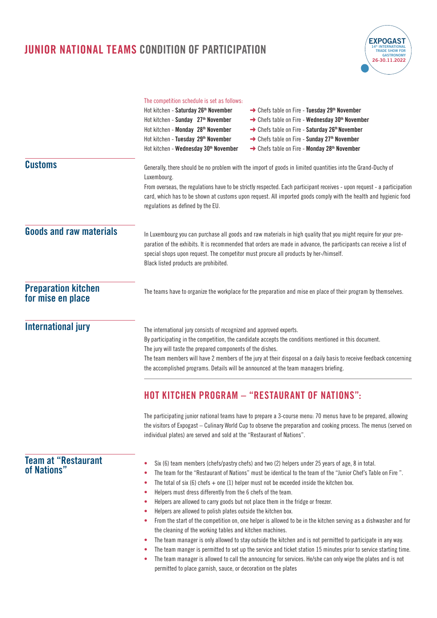|                                                 | <b>JUNIOR NATIONAL TEAMS CONDITION OF PARTICIPATION</b>                                                                                                                                                                                                                                                                                                                                                                                                 |                                                                                                                                                                                                                                                                                                                                                                                                                                                                                                                                                                                                                                                                                                                                                                                       | FXPOGAS<br>26-30.11.2022 |
|-------------------------------------------------|---------------------------------------------------------------------------------------------------------------------------------------------------------------------------------------------------------------------------------------------------------------------------------------------------------------------------------------------------------------------------------------------------------------------------------------------------------|---------------------------------------------------------------------------------------------------------------------------------------------------------------------------------------------------------------------------------------------------------------------------------------------------------------------------------------------------------------------------------------------------------------------------------------------------------------------------------------------------------------------------------------------------------------------------------------------------------------------------------------------------------------------------------------------------------------------------------------------------------------------------------------|--------------------------|
|                                                 | The competition schedule is set as follows:<br>Hot kitchen - Saturday 26 <sup>th</sup> November<br>Hot kitchen - Sunday 27 <sup>th</sup> November<br>Hot kitchen - Monday 28 <sup>th</sup> November<br>Hot kitchen - Tuesday 29th November<br>Hot kitchen - Wednesday 30 <sup>th</sup> November                                                                                                                                                         | → Chefs table on Fire - Tuesday 29th November<br>→ Chefs table on Fire - Wednesday 30 <sup>th</sup> November<br>→ Chefs table on Fire - Saturday 26 <sup>th</sup> November<br>→ Chefs table on Fire - Sunday 27 <sup>th</sup> November<br>→ Chefs table on Fire - Monday 28 <sup>th</sup> November                                                                                                                                                                                                                                                                                                                                                                                                                                                                                    |                          |
| <b>Customs</b>                                  | Generally, there should be no problem with the import of goods in limited quantities into the Grand-Duchy of<br>Luxembourg.<br>From overseas, the regulations have to be strictly respected. Each participant receives - upon request - a participation<br>card, which has to be shown at customs upon request. All imported goods comply with the health and hygienic food<br>regulations as defined by the EU.                                        |                                                                                                                                                                                                                                                                                                                                                                                                                                                                                                                                                                                                                                                                                                                                                                                       |                          |
| <b>Goods and raw materials</b>                  | In Luxembourg you can purchase all goods and raw materials in high quality that you might require for your pre-<br>paration of the exhibits. It is recommended that orders are made in advance, the participants can receive a list of<br>special shops upon request. The competitor must procure all products by her-/himself.<br>Black listed products are prohibited.                                                                                |                                                                                                                                                                                                                                                                                                                                                                                                                                                                                                                                                                                                                                                                                                                                                                                       |                          |
| <b>Preparation kitchen</b><br>for mise en place | The teams have to organize the workplace for the preparation and mise en place of their program by themselves.                                                                                                                                                                                                                                                                                                                                          |                                                                                                                                                                                                                                                                                                                                                                                                                                                                                                                                                                                                                                                                                                                                                                                       |                          |
| <b>International jury</b>                       | The international jury consists of recognized and approved experts.<br>By participating in the competition, the candidate accepts the conditions mentioned in this document.<br>The jury will taste the prepared components of the dishes.<br>The team members will have 2 members of the jury at their disposal on a daily basis to receive feedback concerning<br>the accomplished programs. Details will be announced at the team managers briefing. |                                                                                                                                                                                                                                                                                                                                                                                                                                                                                                                                                                                                                                                                                                                                                                                       |                          |
|                                                 |                                                                                                                                                                                                                                                                                                                                                                                                                                                         | <b>HOT KITCHEN PROGRAM - "RESTAURANT OF NATIONS":</b>                                                                                                                                                                                                                                                                                                                                                                                                                                                                                                                                                                                                                                                                                                                                 |                          |
|                                                 | individual plates) are served and sold at the "Restaurant of Nations".                                                                                                                                                                                                                                                                                                                                                                                  | The participating junior national teams have to prepare a 3-course menu: 70 menus have to be prepared, allowing<br>the visitors of Expogast - Culinary World Cup to observe the preparation and cooking process. The menus (served on                                                                                                                                                                                                                                                                                                                                                                                                                                                                                                                                                 |                          |
| <b>Team at "Restaurant</b><br>of Nations"       | ٠<br>۰<br>Helpers must dress differently from the 6 chefs of the team.<br>۰<br>Helpers are allowed to carry goods but not place them in the fridge or freezer.<br>۰<br>Helpers are allowed to polish plates outside the kitchen box.<br>۰<br>۰<br>the cleaning of the working tables and kitchen machines.<br>۰<br>٠<br>$\bullet$                                                                                                                       | Six (6) team members (chefs/pastry chefs) and two (2) helpers under 25 years of age, 8 in total.<br>The team for the "Restaurant of Nations" must be identical to the team of the "Junior Chef's Table on Fire".<br>The total of six (6) chefs $+$ one (1) helper must not be exceeded inside the kitchen box.<br>From the start of the competition on, one helper is allowed to be in the kitchen serving as a dishwasher and for<br>The team manager is only allowed to stay outside the kitchen and is not permitted to participate in any way.<br>The team manger is permitted to set up the service and ticket station 15 minutes prior to service starting time.<br>The team manager is allowed to call the announcing for services. He/she can only wipe the plates and is not |                          |

permitted to place garnish, sauce, or decoration on the plates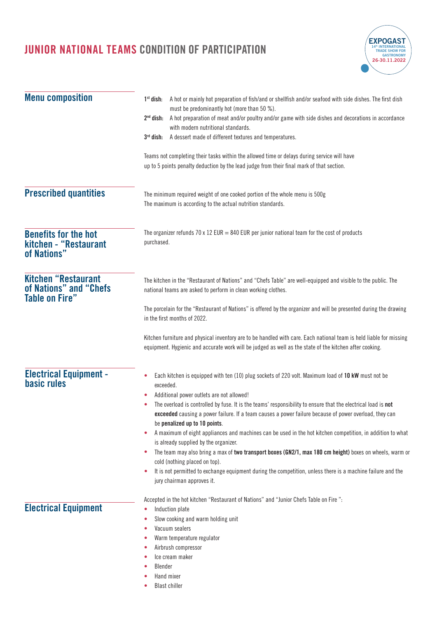

| <b>Menu composition</b>                                                       | A hot or mainly hot preparation of fish/and or shellfish and/or seafood with side dishes. The first dish<br>$1st$ dish:<br>must be predominantly hot (more than 50 %).                                                                                   |
|-------------------------------------------------------------------------------|----------------------------------------------------------------------------------------------------------------------------------------------------------------------------------------------------------------------------------------------------------|
|                                                                               | A hot preparation of meat and/or poultry and/or game with side dishes and decorations in accordance<br>$2nd$ dish:<br>with modern nutritional standards.                                                                                                 |
|                                                                               | A dessert made of different textures and temperatures.<br>$3rd$ dish:                                                                                                                                                                                    |
|                                                                               | Teams not completing their tasks within the allowed time or delays during service will have<br>up to 5 points penalty deduction by the lead judge from their final mark of that section.                                                                 |
| <b>Prescribed quantities</b>                                                  | The minimum required weight of one cooked portion of the whole menu is 500g<br>The maximum is according to the actual nutrition standards.                                                                                                               |
| <b>Benefits for the hot</b><br>kitchen - "Restaurant<br>of Nations"           | The organizer refunds 70 x 12 EUR = 840 EUR per junior national team for the cost of products<br>purchased.                                                                                                                                              |
| <b>Kitchen "Restaurant</b><br>of Nations" and "Chefs<br><b>Table on Fire"</b> | The kitchen in the "Restaurant of Nations" and "Chefs Table" are well-equipped and visible to the public. The<br>national teams are asked to perform in clean working clothes.                                                                           |
|                                                                               | The porcelain for the "Restaurant of Nations" is offered by the organizer and will be presented during the drawing<br>in the first months of 2022.                                                                                                       |
|                                                                               | Kitchen furniture and physical inventory are to be handled with care. Each national team is held liable for missing<br>equipment. Hygienic and accurate work will be judged as well as the state of the kitchen after cooking.                           |
| <b>Electrical Equipment -</b><br><b>basic rules</b>                           | Each kitchen is equipped with ten (10) plug sockets of 220 volt. Maximum load of 10 kW must not be<br>exceeded.<br>Additional power outlets are not allowed!<br>۰                                                                                        |
|                                                                               | The overload is controlled by fuse. It is the teams' responsibility to ensure that the electrical load is not<br>exceeded causing a power failure. If a team causes a power failure because of power overload, they can<br>be penalized up to 10 points. |
|                                                                               | A maximum of eight appliances and machines can be used in the hot kitchen competition, in addition to what<br>٠<br>is already supplied by the organizer.                                                                                                 |
|                                                                               | The team may also bring a max of two transport boxes (GN2/1, max 180 cm height) boxes on wheels, warm or<br>۰                                                                                                                                            |
|                                                                               | cold (nothing placed on top).<br>It is not permitted to exchange equipment during the competition, unless there is a machine failure and the<br>٠<br>jury chairman approves it.                                                                          |
| <b>Electrical Equipment</b>                                                   | Accepted in the hot kitchen "Restaurant of Nations" and "Junior Chefs Table on Fire":<br>Induction plate<br>۰                                                                                                                                            |
|                                                                               | Slow cooking and warm holding unit                                                                                                                                                                                                                       |
|                                                                               | Vacuum sealers                                                                                                                                                                                                                                           |
|                                                                               | Warm temperature regulator<br>Airbrush compressor                                                                                                                                                                                                        |
|                                                                               | Ice cream maker                                                                                                                                                                                                                                          |
|                                                                               | Blender                                                                                                                                                                                                                                                  |
|                                                                               | Hand mixer                                                                                                                                                                                                                                               |
|                                                                               | <b>Blast chiller</b>                                                                                                                                                                                                                                     |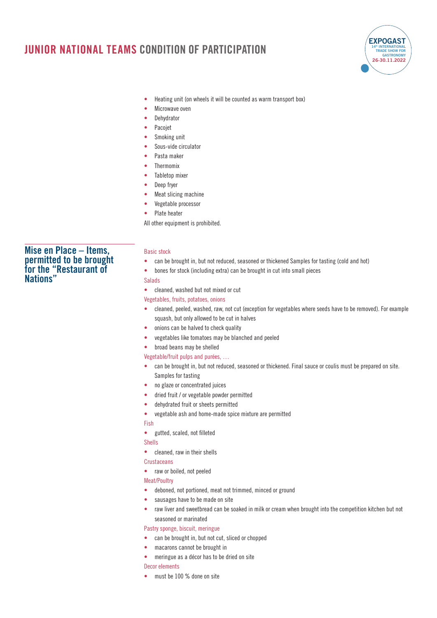

- **•** Heating unit (on wheels it will be counted as warm transport box)
- **•** Microwave oven
- **•** Dehydrator
- **•** Pacojet
- **•** Smoking unit
- **•** Sous-vide circulator
- **•** Pasta maker
- **•** Thermomix
- **•** Tabletop mixer
- **•** Deep fryer
- **•** Meat slicing machine
- **•** Vegetable processor
- **•** Plate heater

All other equipment is prohibited.

### **Mise en Place – Items, permitted to be brought for the "Restaurant of Nations"**

#### Basic stock

- **•** can be brought in, but not reduced, seasoned or thickened Samples for tasting (cold and hot)
- **•** bones for stock (including extra) can be brought in cut into small pieces

#### Salads

**•** cleaned, washed but not mixed or cut

#### Vegetables, fruits, potatoes, onions

- **•** cleaned, peeled, washed, raw, not cut (exception for vegetables where seeds have to be removed). For example squash, but only allowed to be cut in halves
- **•** onions can be halved to check quality
- **•** vegetables like tomatoes may be blanched and peeled

#### **•** broad beans may be shelled

- Vegetable/fruit pulps and purées, …
- **•** can be brought in, but not reduced, seasoned or thickened. Final sauce or coulis must be prepared on site. Samples for tasting
- **•** no glaze or concentrated juices
- **•** dried fruit / or vegetable powder permitted
- **•** dehydrated fruit or sheets permitted
- **•** vegetable ash and home-made spice mixture are permitted

#### Fish

**•** gutted, scaled, not filleted

Shells

**•** cleaned, raw in their shells

#### **Crustaceans**

**•** raw or boiled, not peeled

Meat/Poultry

- **•** deboned, not portioned, meat not trimmed, minced or ground
- **•** sausages have to be made on site
- **•** raw liver and sweetbread can be soaked in milk or cream when brought into the competition kitchen but not seasoned or marinated

#### Pastry sponge, biscuit, meringue

- **•** can be brought in, but not cut, sliced or chopped
- **•** macarons cannot be brought in
- **•** meringue as a décor has to be dried on site
- Decor elements
- **•** must be 100 % done on site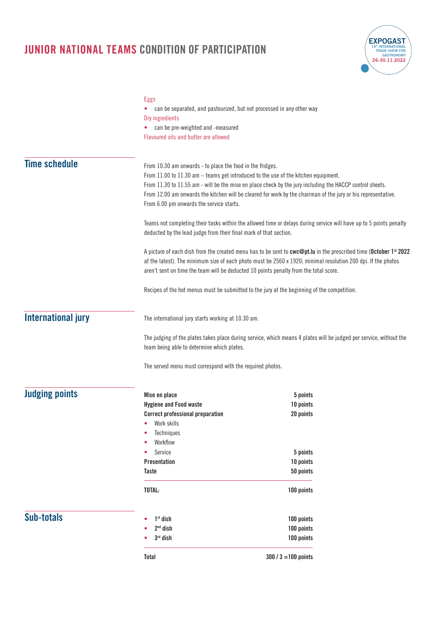

|                           | <b>Eggs</b>                                                                              |                                                                                                                               |  |
|---------------------------|------------------------------------------------------------------------------------------|-------------------------------------------------------------------------------------------------------------------------------|--|
|                           | can be separated, and pasteurized, but not processed in any other way<br>Dry ingredients |                                                                                                                               |  |
|                           | can be pre-weighted and -measured<br>۰                                                   |                                                                                                                               |  |
|                           | Flavoured oils and butter are allowed                                                    |                                                                                                                               |  |
|                           |                                                                                          |                                                                                                                               |  |
| <b>Time schedule</b>      | From 10.30 am onwards - to place the food in the fridges.                                |                                                                                                                               |  |
|                           | From 11.00 to 11.30 am - teams get introduced to the use of the kitchen equipment.       |                                                                                                                               |  |
|                           |                                                                                          | From 11.30 to 11.55 am - will be the mise en place check by the jury including the HACCP control sheets.                      |  |
|                           |                                                                                          | From 12.00 am onwards the kitchen will be cleared for work by the chairman of the jury or his representative.                 |  |
|                           | From 6.00 pm onwards the service starts.                                                 |                                                                                                                               |  |
|                           |                                                                                          | Teams not completing their tasks within the allowed time or delays during service will have up to 5 points penalty            |  |
|                           | deducted by the lead judge from their final mark of that section.                        |                                                                                                                               |  |
|                           |                                                                                          | A picture of each dish from the created menu has to be sent to cwc@pt.lu in the prescribed time (October 1 <sup>st</sup> 2022 |  |
|                           |                                                                                          | at the latest). The minimum size of each photo must be 2560 x 1920; minimal resolution 200 dpi. If the photos                 |  |
|                           | aren't sent on time the team will be deducted 10 points penalty from the total score.    |                                                                                                                               |  |
|                           |                                                                                          | Recipes of the hot menus must be submitted to the jury at the beginning of the competition.                                   |  |
| <b>International jury</b> | The international jury starts working at 10.30 am.                                       |                                                                                                                               |  |
|                           |                                                                                          |                                                                                                                               |  |
|                           | team being able to determine which plates.                                               | The judging of the plates takes place during service, which means 4 plates will be judged per service, without the            |  |
|                           | The served menu must correspond with the required photos.                                |                                                                                                                               |  |
|                           |                                                                                          |                                                                                                                               |  |
| <b>Judging points</b>     | Mise en place<br><b>Hygiene and Food waste</b>                                           | 5 points                                                                                                                      |  |
|                           | <b>Correct professional preparation</b>                                                  | 10 points<br>20 points                                                                                                        |  |
|                           | Work skills                                                                              |                                                                                                                               |  |
|                           | Techniques<br>۰                                                                          |                                                                                                                               |  |
|                           | Workflow<br>۰                                                                            |                                                                                                                               |  |
|                           | Service<br>۰                                                                             | 5 points                                                                                                                      |  |
|                           | <b>Presentation</b>                                                                      | 10 points                                                                                                                     |  |
|                           | <b>Taste</b>                                                                             | 50 points                                                                                                                     |  |
|                           | TOTAL:                                                                                   | 100 points                                                                                                                    |  |
| <b>Sub-totals</b>         | $1st$ dish                                                                               | 100 points                                                                                                                    |  |
|                           | $2nd$ dish                                                                               | 100 points                                                                                                                    |  |
|                           | $3rd$ dish                                                                               | 100 points                                                                                                                    |  |
|                           | <b>Total</b>                                                                             | $300 / 3 = 100$ points                                                                                                        |  |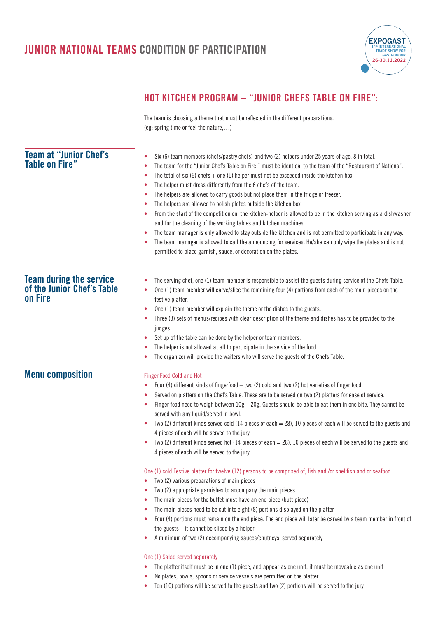

### **HOT KITCHEN PROGRAM – "JUNIOR CHEFS TABLE ON FIRE":**

The team is choosing a theme that must be reflected in the different preparations. (eg: spring time or feel the nature,…)

| <b>Team at "Junior Chef's</b><br><b>Table on Fire"</b>                  | Six (6) team members (chefs/pastry chefs) and two (2) helpers under 25 years of age, 8 in total.<br>۰<br>The team for the "Junior Chef's Table on Fire " must be identical to the team of the "Restaurant of Nations".<br>٠<br>The total of six (6) chefs $+$ one (1) helper must not be exceeded inside the kitchen box.<br>۰<br>The helper must dress differently from the 6 chefs of the team.<br>۰<br>The helpers are allowed to carry goods but not place them in the fridge or freezer.<br>۰<br>The helpers are allowed to polish plates outside the kitchen box.<br>۰<br>From the start of the competition on, the kitchen-helper is allowed to be in the kitchen serving as a dishwasher<br>٠<br>and for the cleaning of the working tables and kitchen machines.<br>The team manager is only allowed to stay outside the kitchen and is not permitted to participate in any way.<br>۰<br>The team manager is allowed to call the announcing for services. He/she can only wipe the plates and is not<br>۰<br>permitted to place garnish, sauce, or decoration on the plates. |
|-------------------------------------------------------------------------|---------------------------------------------------------------------------------------------------------------------------------------------------------------------------------------------------------------------------------------------------------------------------------------------------------------------------------------------------------------------------------------------------------------------------------------------------------------------------------------------------------------------------------------------------------------------------------------------------------------------------------------------------------------------------------------------------------------------------------------------------------------------------------------------------------------------------------------------------------------------------------------------------------------------------------------------------------------------------------------------------------------------------------------------------------------------------------------|
| <b>Team during the service</b><br>of the Junior Chef's Table<br>on Fire | The serving chef, one (1) team member is responsible to assist the guests during service of the Chefs Table.<br>۰<br>One (1) team member will carve/slice the remaining four (4) portions from each of the main pieces on the<br>۰<br>festive platter.<br>One (1) team member will explain the theme or the dishes to the guests.<br>۰<br>Three (3) sets of menus/recipes with clear description of the theme and dishes has to be provided to the<br>٠<br>judges.<br>Set up of the table can be done by the helper or team members.<br>٠<br>The helper is not allowed at all to participate in the service of the food.<br>The organizer will provide the waiters who will serve the guests of the Chefs Table.<br>۰                                                                                                                                                                                                                                                                                                                                                                 |
| <b>Menu composition</b>                                                 | <b>Finger Food Cold and Hot</b><br>Four (4) different kinds of fingerfood - two (2) cold and two (2) hot varieties of finger food<br>۰<br>Served on platters on the Chef's Table. These are to be served on two (2) platters for ease of service.<br>۰<br>Finger food need to weigh between $10g - 20g$ . Guests should be able to eat them in one bite. They cannot be<br>٠<br>served with any liquid/served in bowl.<br>Two (2) different kinds served cold (14 pieces of each $=$ 28), 10 pieces of each will be served to the guests and<br>۰<br>4 pieces of each will be served to the jury<br>Two (2) different kinds served hot (14 pieces of each $=$ 28), 10 pieces of each will be served to the guests and<br>4 pieces of each will be served to the jury                                                                                                                                                                                                                                                                                                                  |
|                                                                         | One (1) cold Festive platter for twelve (12) persons to be comprised of, fish and /or shellfish and or seafood<br>Two (2) various preparations of main pieces<br>٠<br>Two (2) appropriate garnishes to accompany the main pieces<br>٠<br>The main pieces for the buffet must have an end piece (butt piece)<br>۰<br>The main pieces need to be cut into eight (8) portions displayed on the platter<br>۰<br>Four (4) portions must remain on the end piece. The end piece will later be carved by a team member in front of<br>۰<br>the guests $-$ it cannot be sliced by a helper<br>A minimum of two (2) accompanying sauces/chutneys, served separately<br>۰<br>One (1) Salad served separately<br>The platter itself must be in one (1) piece, and appear as one unit, it must be moveable as one unit<br>۰<br>No plates, bowls, spoons or service vessels are permitted on the platter.<br>۰<br>Ten (10) portions will be served to the guests and two (2) portions will be served to the jury<br>۰                                                                              |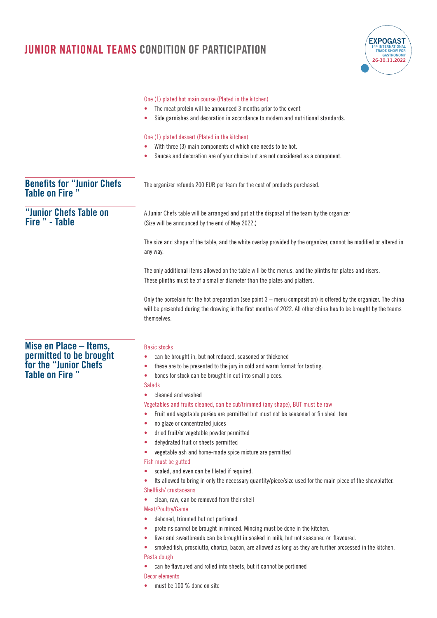|                                                             | One (1) plated hot main course (Plated in the kitchen)                                                                                                                                                                                                |
|-------------------------------------------------------------|-------------------------------------------------------------------------------------------------------------------------------------------------------------------------------------------------------------------------------------------------------|
|                                                             | The meat protein will be announced 3 months prior to the event                                                                                                                                                                                        |
|                                                             | Side garnishes and decoration in accordance to modern and nutritional standards.<br>٠                                                                                                                                                                 |
|                                                             | One (1) plated dessert (Plated in the kitchen)                                                                                                                                                                                                        |
|                                                             | With three (3) main components of which one needs to be hot.                                                                                                                                                                                          |
|                                                             | Sauces and decoration are of your choice but are not considered as a component.                                                                                                                                                                       |
| <b>Benefits for "Junior Chefs</b><br><b>Table on Fire "</b> | The organizer refunds 200 EUR per team for the cost of products purchased.                                                                                                                                                                            |
| "Junior Chefs Table on<br>Fire " - Table                    | A Junior Chefs table will be arranged and put at the disposal of the team by the organizer<br>(Size will be announced by the end of May 2022.)                                                                                                        |
|                                                             | The size and shape of the table, and the white overlay provided by the organizer, cannot be modified or altered in<br>any way.                                                                                                                        |
|                                                             | The only additional items allowed on the table will be the menus, and the plinths for plates and risers.<br>These plinths must be of a smaller diameter than the plates and platters.                                                                 |
|                                                             | Only the porcelain for the hot preparation (see point 3 – menu composition) is offered by the organizer. The china<br>will be presented during the drawing in the first months of 2022. All other china has to be brought by the teams<br>themselves. |
| Mise en Place – Items,                                      | <b>Basic stocks</b>                                                                                                                                                                                                                                   |
|                                                             | can be brought in, but not reduced, seasoned or thickened                                                                                                                                                                                             |
| permitted to be brought<br>for the "Junior Chefs            | these are to be presented to the jury in cold and warm format for tasting.<br>۰                                                                                                                                                                       |
| Table on Fire "                                             | bones for stock can be brought in cut into small pieces.<br>٠                                                                                                                                                                                         |
|                                                             | <b>Salads</b>                                                                                                                                                                                                                                         |
|                                                             | cleaned and washed                                                                                                                                                                                                                                    |
|                                                             | Vegetables and fruits cleaned, can be cut/trimmed (any shape), BUT must be raw                                                                                                                                                                        |
|                                                             | Fruit and vegetable purées are permitted but must not be seasoned or finished item<br>۰                                                                                                                                                               |
|                                                             | no glaze or concentrated juices<br>٠                                                                                                                                                                                                                  |
|                                                             | dried fruit/or vegetable powder permitted<br>٠                                                                                                                                                                                                        |
|                                                             | dehydrated fruit or sheets permitted<br>۰                                                                                                                                                                                                             |
|                                                             | vegetable ash and home-made spice mixture are permitted<br>٠                                                                                                                                                                                          |
|                                                             | Fish must be gutted                                                                                                                                                                                                                                   |
|                                                             | scaled, and even can be fileted if required.<br>٠                                                                                                                                                                                                     |
|                                                             | Its allowed to bring in only the necessary quantity/piece/size used for the main piece of the showplatter.<br>۰<br>Shellfish/crustaceans                                                                                                              |
|                                                             | clean, raw, can be removed from their shell<br>۰                                                                                                                                                                                                      |
|                                                             | Meat/Poultry/Game                                                                                                                                                                                                                                     |
|                                                             | deboned, trimmed but not portioned<br>٠                                                                                                                                                                                                               |
|                                                             | proteins cannot be brought in minced. Mincing must be done in the kitchen.<br>۰                                                                                                                                                                       |
|                                                             | liver and sweetbreads can be brought in soaked in milk, but not seasoned or flavoured.<br>۰                                                                                                                                                           |
|                                                             | smoked fish, prosciutto, chorizo, bacon, are allowed as long as they are further processed in the kitchen.<br>$\bullet$                                                                                                                               |
|                                                             | Pasta dough<br>can be flavoured and rolled into sheets, but it cannot be portioned<br>٠                                                                                                                                                               |
|                                                             | Decor elements                                                                                                                                                                                                                                        |
|                                                             |                                                                                                                                                                                                                                                       |

**EXPOGAST 14th INTERNATIONAL TRADE SHOW FOR GASTRONOMY 26-30.11.2022**

**•** must be 100 % done on site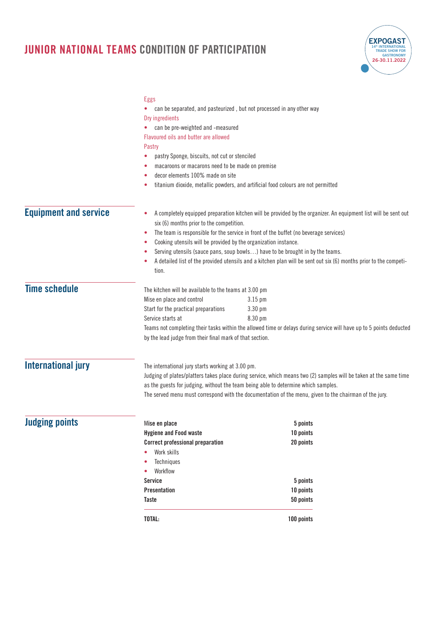

|                              | Eggs<br>can be separated, and pasteurized, but not processed in any other way<br>٠<br>Dry ingredients<br>can be pre-weighted and -measured<br>Flavoured oils and butter are allowed<br>Pastry<br>pastry Sponge, biscuits, not cut or stenciled<br>macaroons or macarons need to be made on premise<br>۰<br>decor elements 100% made on site                            | titanium dioxide, metallic powders, and artificial food colours are not permitted                                                                                                                                                                                                                                                                                                                              |  |
|------------------------------|------------------------------------------------------------------------------------------------------------------------------------------------------------------------------------------------------------------------------------------------------------------------------------------------------------------------------------------------------------------------|----------------------------------------------------------------------------------------------------------------------------------------------------------------------------------------------------------------------------------------------------------------------------------------------------------------------------------------------------------------------------------------------------------------|--|
| <b>Equipment and service</b> | ۰<br>six (6) months prior to the competition.<br>۰<br>Cooking utensils will be provided by the organization instance.<br>۰<br>٠<br>tion.                                                                                                                                                                                                                               | A completely equipped preparation kitchen will be provided by the organizer. An equipment list will be sent out<br>The team is responsible for the service in front of the buffet (no beverage services)<br>Serving utensils (sauce pans, soup bowls) have to be brought in by the teams.<br>A detailed list of the provided utensils and a kitchen plan will be sent out six (6) months prior to the competi- |  |
| <b>Time schedule</b>         | The kitchen will be available to the teams at 3.00 pm<br>Mise en place and control<br>Start for the practical preparations<br>Service starts at<br>by the lead judge from their final mark of that section.                                                                                                                                                            | $3.15$ pm<br>3.30 pm<br>8.30 pm<br>Teams not completing their tasks within the allowed time or delays during service will have up to 5 points deducted                                                                                                                                                                                                                                                         |  |
| <b>International jury</b>    | The international jury starts working at 3.00 pm.<br>Judging of plates/platters takes place during service, which means two (2) samples will be taken at the same time<br>as the guests for judging, without the team being able to determine which samples.<br>The served menu must correspond with the documentation of the menu, given to the chairman of the jury. |                                                                                                                                                                                                                                                                                                                                                                                                                |  |
| <b>Judging points</b>        | Mise en place<br><b>Hygiene and Food waste</b><br><b>Correct professional preparation</b><br>Work skills<br>۰<br>Techniques<br>Workflow<br>Service<br><b>Presentation</b><br>Taste<br>TOTAL:                                                                                                                                                                           | 5 points<br>10 points<br>20 points<br>5 points<br>10 points<br>50 points<br>100 points                                                                                                                                                                                                                                                                                                                         |  |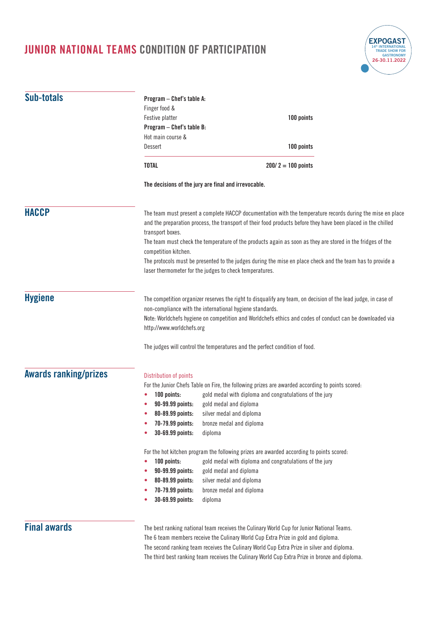

| Sub-totals                                                                                              | Program - Chef's table A:<br>Finger food &<br>Festive platter<br>Program - Chef's table B:<br>Hot main course &<br>Dessert | 100 points<br>100 points                                                                                                                                                                                                                                                                                                                                                                                                                                                                                           |
|---------------------------------------------------------------------------------------------------------|----------------------------------------------------------------------------------------------------------------------------|--------------------------------------------------------------------------------------------------------------------------------------------------------------------------------------------------------------------------------------------------------------------------------------------------------------------------------------------------------------------------------------------------------------------------------------------------------------------------------------------------------------------|
|                                                                                                         | <b>TOTAL</b>                                                                                                               | $200/2 = 100$ points                                                                                                                                                                                                                                                                                                                                                                                                                                                                                               |
|                                                                                                         |                                                                                                                            | The decisions of the jury are final and irrevocable.                                                                                                                                                                                                                                                                                                                                                                                                                                                               |
| <b>HACCP</b>                                                                                            | transport boxes.<br>competition kitchen.                                                                                   | The team must present a complete HACCP documentation with the temperature records during the mise en place<br>and the preparation process, the transport of their food products before they have been placed in the chilled<br>The team must check the temperature of the products again as soon as they are stored in the fridges of the<br>The protocols must be presented to the judges during the mise en place check and the team has to provide a<br>laser thermometer for the judges to check temperatures. |
| <b>Hygiene</b><br>non-compliance with the international hygiene standards.<br>http://www.worldchefs.org |                                                                                                                            | The competition organizer reserves the right to disqualify any team, on decision of the lead judge, in case of<br>Note: Worldchefs hygiene on competition and Worldchefs ethics and codes of conduct can be downloaded via                                                                                                                                                                                                                                                                                         |
|                                                                                                         |                                                                                                                            | The judges will control the temperatures and the perfect condition of food.                                                                                                                                                                                                                                                                                                                                                                                                                                        |
| <b>Awards ranking/prizes</b>                                                                            | Distribution of points<br>100 points:<br>90-99.99 points:<br>80-89.99 points:<br>70-79.99 points:<br>30-69.99 points:      | For the Junior Chefs Table on Fire, the following prizes are awarded according to points scored:<br>gold medal with diploma and congratulations of the jury<br>gold medal and diploma<br>silver medal and diploma<br>bronze medal and diploma<br>diploma                                                                                                                                                                                                                                                           |
|                                                                                                         | 100 points:<br>90-99.99 points:<br>80-89.99 points:<br>70-79.99 points:<br>30-69.99 points:                                | For the hot kitchen program the following prizes are awarded according to points scored:<br>gold medal with diploma and congratulations of the jury<br>gold medal and diploma<br>silver medal and diploma<br>bronze medal and diploma<br>diploma                                                                                                                                                                                                                                                                   |
| <b>Final awards</b>                                                                                     |                                                                                                                            | The best ranking national team receives the Culinary World Cup for Junior National Teams.                                                                                                                                                                                                                                                                                                                                                                                                                          |

The 6 team members receive the Culinary World Cup Extra Prize in gold and diploma. The second ranking team receives the Culinary World Cup Extra Prize in silver and diploma. The third best ranking team receives the Culinary World Cup Extra Prize in bronze and diploma.